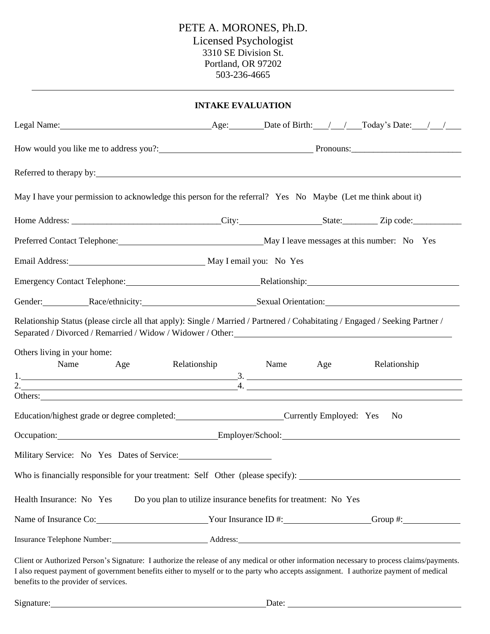# PETE A. MORONES, Ph.D. Licensed Psychologist 3310 SE Division St. Portland, OR 97202 503-236-4665

| <b>INTAKE EVALUATION</b>                                                                                                                                                                                                                                                                                                     |  |                                                                                                                          |  |  |  |
|------------------------------------------------------------------------------------------------------------------------------------------------------------------------------------------------------------------------------------------------------------------------------------------------------------------------------|--|--------------------------------------------------------------------------------------------------------------------------|--|--|--|
|                                                                                                                                                                                                                                                                                                                              |  |                                                                                                                          |  |  |  |
|                                                                                                                                                                                                                                                                                                                              |  |                                                                                                                          |  |  |  |
|                                                                                                                                                                                                                                                                                                                              |  |                                                                                                                          |  |  |  |
| May I have your permission to acknowledge this person for the referral? Yes No Maybe (Let me think about it)                                                                                                                                                                                                                 |  |                                                                                                                          |  |  |  |
|                                                                                                                                                                                                                                                                                                                              |  |                                                                                                                          |  |  |  |
| Preferred Contact Telephone: May I leave messages at this number: No Yes                                                                                                                                                                                                                                                     |  |                                                                                                                          |  |  |  |
| Email Address: May I email you: No Yes                                                                                                                                                                                                                                                                                       |  |                                                                                                                          |  |  |  |
| Emergency Contact Telephone: Relationship: Relationship: Relationship:                                                                                                                                                                                                                                                       |  |                                                                                                                          |  |  |  |
| Gender: Race/ethnicity: Sexual Orientation: Sexual Orientation:                                                                                                                                                                                                                                                              |  |                                                                                                                          |  |  |  |
| Relationship Status (please circle all that apply): Single / Married / Partnered / Cohabitating / Engaged / Seeking Partner /                                                                                                                                                                                                |  |                                                                                                                          |  |  |  |
| Others living in your home:<br>Name Age Relationship                                                                                                                                                                                                                                                                         |  | Name<br>Age<br>Relationship                                                                                              |  |  |  |
|                                                                                                                                                                                                                                                                                                                              |  | $\overline{\phantom{a}4.}$ and the contract of the contract of $\overline{\phantom{a}4.}$ and $\overline{\phantom{a}4.}$ |  |  |  |
| Others: New York Changes and the Changes of the Changes of the Changes of the Changes of the Changes of the Changes of the Changes of the Changes of the Changes of the Changes of the Changes of the Changes of the Changes o<br>Education/highest grade or degree completed: Currently Employed: Yes No                    |  |                                                                                                                          |  |  |  |
| Occupation: Employer/School: Employer/School:                                                                                                                                                                                                                                                                                |  |                                                                                                                          |  |  |  |
| Military Service: No Yes Dates of Service:                                                                                                                                                                                                                                                                                   |  |                                                                                                                          |  |  |  |
| Who is financially responsible for your treatment: Self Other (please specify):                                                                                                                                                                                                                                              |  |                                                                                                                          |  |  |  |
| Health Insurance: No Yes                                                                                                                                                                                                                                                                                                     |  | Do you plan to utilize insurance benefits for treatment: No Yes                                                          |  |  |  |
|                                                                                                                                                                                                                                                                                                                              |  |                                                                                                                          |  |  |  |
| Insurance Telephone Number:<br>Address: Address: Address: Address: Address: Address: Address: Address: Address: Address: Address: Address: Address: Address: Address: Address: Address: Address: Address: Address: Address: Addr                                                                                             |  |                                                                                                                          |  |  |  |
| Client or Authorized Person's Signature: I authorize the release of any medical or other information necessary to process claims/payments.<br>I also request payment of government benefits either to myself or to the party who accepts assignment. I authorize payment of medical<br>benefits to the provider of services. |  |                                                                                                                          |  |  |  |
| Signature:                                                                                                                                                                                                                                                                                                                   |  | Date:                                                                                                                    |  |  |  |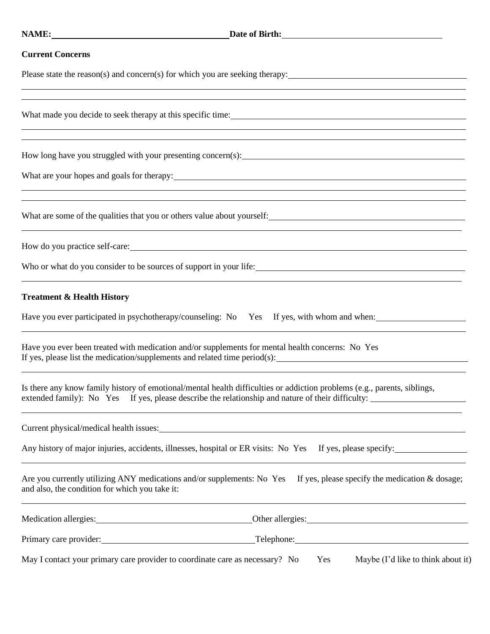<u> 1989 - Johann Stoff, amerikansk politiker (\* 1908)</u>

#### **Current Concerns**

Please state the reason(s) and concern(s) for which you are seeking therapy:

What made you decide to seek therapy at this specific time:

How long have you struggled with your presenting concern(s):

What are your hopes and goals for therapy: 1983.

What are some of the qualities that you or others value about yourself:<br>
<u>Notation</u>

How do you practice self-care:

Who or what do you consider to be sources of support in your life:<br>
<u>University</u>

### **Treatment & Health History**

Have you ever participated in psychotherapy/counseling: No Yes If yes, with whom and when:

Have you ever been treated with medication and/or supplements for mental health concerns: No Yes If yes, please list the medication/supplements and related time period(s):

<u> 1989 - Andrea Santa Alemania, amerikana amerikana amerikana amerikana amerikana amerikana amerikana amerikan</u>

Is there any know family history of emotional/mental health difficulties or addiction problems (e.g., parents, siblings, extended family): No Yes If yes, please describe the relationship and nature of their difficulty:

Current physical/medical health issues:<br>
<u>Current</u>

Any history of major injuries, accidents, illnesses, hospital or ER visits: No Yes If yes, please specify:

Are you currently utilizing ANY medications and/or supplements: No Yes If yes, please specify the medication  $&$  dosage; and also, the condition for which you take it:

<u> 1989 - Andrea Stadt Britain, amerikansk politik (\* 1989)</u>

| Medication allergies:                                                        | Other allergies:                          |  |  |
|------------------------------------------------------------------------------|-------------------------------------------|--|--|
| Primary care provider:                                                       | Telephone:                                |  |  |
| May I contact your primary care provider to coordinate care as necessary? No | Maybe (I'd like to think about it)<br>Yes |  |  |